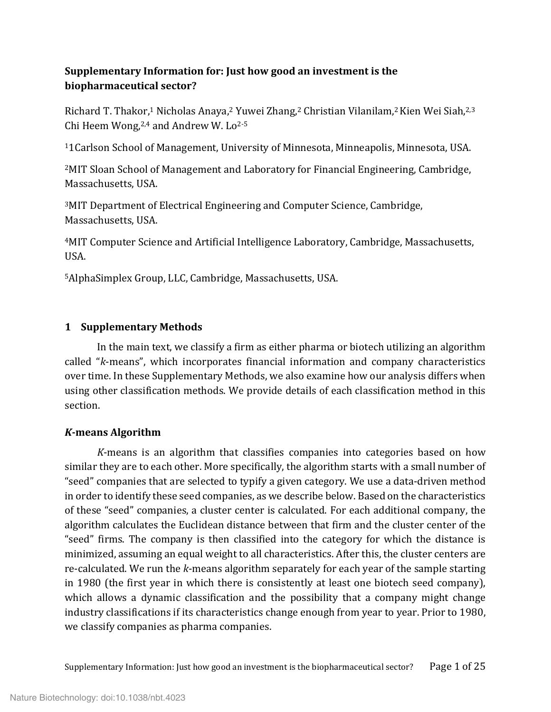# **Supplementary Information for: Just how good an investment is the biopharmaceutical sector?**

Richard T. Thakor,<sup>1</sup> Nicholas Anaya,<sup>2</sup> Yuwei Zhang,<sup>2</sup> Christian Vilanilam,<sup>2</sup> Kien Wei Siah,<sup>2,3</sup> Chi Heem Wong, $2,4$  and Andrew W. Lo $2-5$ 

11Carlson School of Management, University of Minnesota, Minneapolis, Minnesota, USA.

2MIT Sloan School of Management and Laboratory for Financial Engineering, Cambridge, Massachusetts, USA.

3MIT Department of Electrical Engineering and Computer Science, Cambridge, Massachusetts, USA.

4MIT Computer Science and Artificial Intelligence Laboratory, Cambridge, Massachusetts, USA.

5AlphaSimplex Group, LLC, Cambridge, Massachusetts, USA.

# **1 Supplementary Methods**

In the main text, we classify a firm as either pharma or biotech utilizing an algorithm called "*k*-means", which incorporates financial information and company characteristics over time. In these Supplementary Methods, we also examine how our analysis differs when using other classification methods. We provide details of each classification method in this section.

### *K***-means Algorithm**

*K*-means is an algorithm that classifies companies into categories based on how similar they are to each other. More specifically, the algorithm starts with a small number of "seed" companies that are selected to typify a given category. We use a data-driven method in order to identify these seed companies, as we describe below. Based on the characteristics of these "seed" companies, a cluster center is calculated. For each additional company, the algorithm calculates the Euclidean distance between that firm and the cluster center of the "seed" firms. The company is then classified into the category for which the distance is minimized, assuming an equal weight to all characteristics. After this, the cluster centers are re-calculated. We run the *k*-means algorithm separately for each year of the sample starting in 1980 (the first year in which there is consistently at least one biotech seed company), which allows a dynamic classification and the possibility that a company might change industry classifications if its characteristics change enough from year to year. Prior to 1980, we classify companies as pharma companies.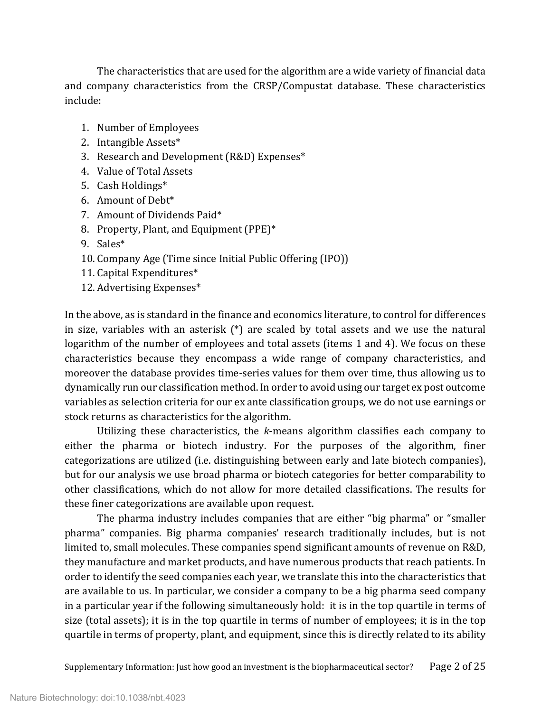The characteristics that are used for the algorithm are a wide variety of financial data and company characteristics from the CRSP/Compustat database. These characteristics include:

- 1. Number of Employees
- 2. Intangible Assets\*
- 3. Research and Development (R&D) Expenses\*
- 4. Value of Total Assets
- 5. Cash Holdings\*
- 6. Amount of Debt\*
- 7. Amount of Dividends Paid\*
- 8. Property, Plant, and Equipment (PPE)\*
- 9. Sales\*
- 10. Company Age (Time since Initial Public Offering (IPO))
- 11. Capital Expenditures\*
- 12. Advertising Expenses\*

In the above, as is standard in the finance and economics literature, to control for differences in size, variables with an asterisk (\*) are scaled by total assets and we use the natural logarithm of the number of employees and total assets (items 1 and 4). We focus on these characteristics because they encompass a wide range of company characteristics, and moreover the database provides time-series values for them over time, thus allowing us to dynamically run our classification method. In order to avoid using our target ex post outcome variables as selection criteria for our ex ante classification groups, we do not use earnings or stock returns as characteristics for the algorithm.

Utilizing these characteristics, the *k*-means algorithm classifies each company to either the pharma or biotech industry. For the purposes of the algorithm, finer categorizations are utilized (i.e. distinguishing between early and late biotech companies), but for our analysis we use broad pharma or biotech categories for better comparability to other classifications, which do not allow for more detailed classifications. The results for these finer categorizations are available upon request.

The pharma industry includes companies that are either "big pharma" or "smaller pharma" companies. Big pharma companies' research traditionally includes, but is not limited to, small molecules. These companies spend significant amounts of revenue on R&D, they manufacture and market products, and have numerous products that reach patients. In order to identify the seed companies each year, we translate this into the characteristics that are available to us. In particular, we consider a company to be a big pharma seed company in a particular year if the following simultaneously hold: it is in the top quartile in terms of size (total assets); it is in the top quartile in terms of number of employees; it is in the top quartile in terms of property, plant, and equipment, since this is directly related to its ability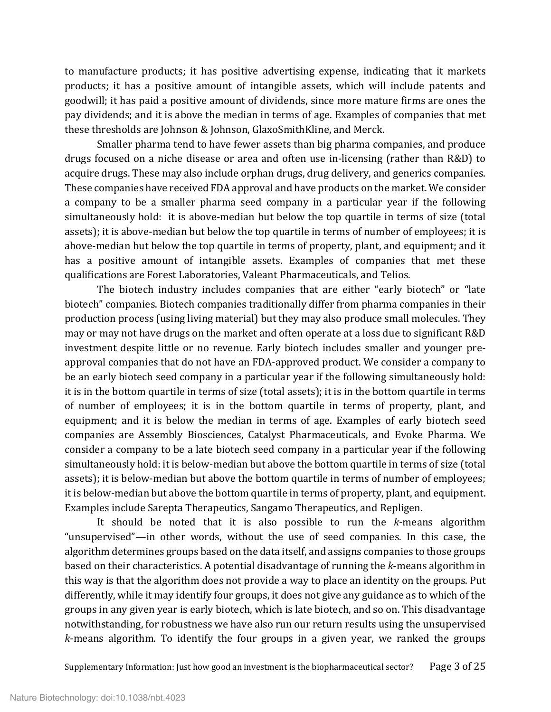to manufacture products; it has positive advertising expense, indicating that it markets products; it has a positive amount of intangible assets, which will include patents and goodwill; it has paid a positive amount of dividends, since more mature firms are ones the pay dividends; and it is above the median in terms of age. Examples of companies that met these thresholds are Johnson & Johnson, GlaxoSmithKline, and Merck.

Smaller pharma tend to have fewer assets than big pharma companies, and produce drugs focused on a niche disease or area and often use in-licensing (rather than R&D) to acquire drugs. These may also include orphan drugs, drug delivery, and generics companies. These companies have received FDA approval and have products on the market. We consider a company to be a smaller pharma seed company in a particular year if the following simultaneously hold: it is above-median but below the top quartile in terms of size (total assets); it is above-median but below the top quartile in terms of number of employees; it is above-median but below the top quartile in terms of property, plant, and equipment; and it has a positive amount of intangible assets. Examples of companies that met these qualifications are Forest Laboratories, Valeant Pharmaceuticals, and Telios.

The biotech industry includes companies that are either "early biotech" or "late biotech" companies. Biotech companies traditionally differ from pharma companies in their production process (using living material) but they may also produce small molecules. They may or may not have drugs on the market and often operate at a loss due to significant R&D investment despite little or no revenue. Early biotech includes smaller and younger preapproval companies that do not have an FDA-approved product. We consider a company to be an early biotech seed company in a particular year if the following simultaneously hold: it is in the bottom quartile in terms of size (total assets); it is in the bottom quartile in terms of number of employees; it is in the bottom quartile in terms of property, plant, and equipment; and it is below the median in terms of age. Examples of early biotech seed companies are Assembly Biosciences, Catalyst Pharmaceuticals, and Evoke Pharma. We consider a company to be a late biotech seed company in a particular year if the following simultaneously hold: it is below-median but above the bottom quartile in terms of size (total assets); it is below-median but above the bottom quartile in terms of number of employees; it is below-median but above the bottom quartile in terms of property, plant, and equipment. Examples include Sarepta Therapeutics, Sangamo Therapeutics, and Repligen.

It should be noted that it is also possible to run the *k*-means algorithm "unsupervised"—in other words, without the use of seed companies. In this case, the algorithm determines groups based on the data itself, and assigns companies to those groups based on their characteristics. A potential disadvantage of running the *k*-means algorithm in this way is that the algorithm does not provide a way to place an identity on the groups. Put differently, while it may identify four groups, it does not give any guidance as to which of the groups in any given year is early biotech, which is late biotech, and so on. This disadvantage notwithstanding, for robustness we have also run our return results using the unsupervised *k*-means algorithm. To identify the four groups in a given year, we ranked the groups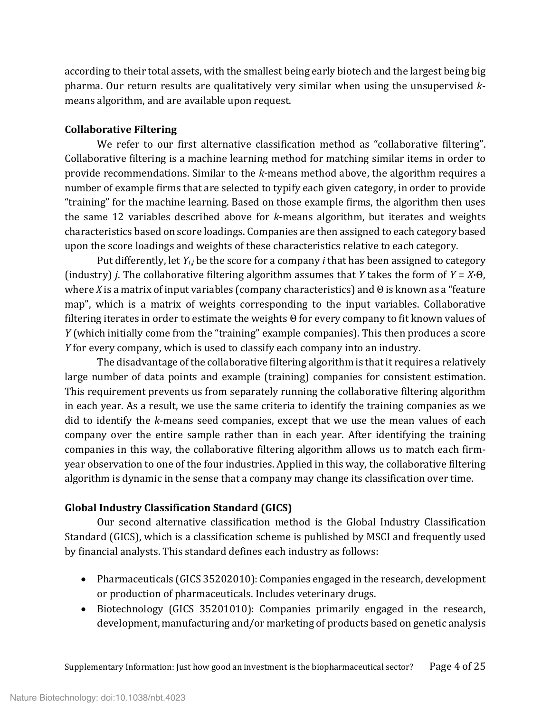according to their total assets, with the smallest being early biotech and the largest being big pharma. Our return results are qualitatively very similar when using the unsupervised *k*means algorithm, and are available upon request.

## **Collaborative Filtering**

We refer to our first alternative classification method as "collaborative filtering". Collaborative filtering is a machine learning method for matching similar items in order to provide recommendations. Similar to the *k*-means method above, the algorithm requires a number of example firms that are selected to typify each given category, in order to provide "training" for the machine learning. Based on those example firms, the algorithm then uses the same 12 variables described above for *k*-means algorithm, but iterates and weights characteristics based on score loadings. Companies are then assigned to each category based upon the score loadings and weights of these characteristics relative to each category.

Put differently, let *Yi*,*<sup>j</sup>* be the score for a company *i* that has been assigned to category (industry) *j*. The collaborative filtering algorithm assumes that *Y* takes the form of *Y* = *X*·Θ, where *X* is a matrix of input variables (company characteristics) and Θ is known as a "feature map", which is a matrix of weights corresponding to the input variables. Collaborative filtering iterates in order to estimate the weights Θ for every company to fit known values of *Y* (which initially come from the "training" example companies). This then produces a score *Y* for every company, which is used to classify each company into an industry.

The disadvantage of the collaborative filtering algorithm is that it requires a relatively large number of data points and example (training) companies for consistent estimation. This requirement prevents us from separately running the collaborative filtering algorithm in each year. As a result, we use the same criteria to identify the training companies as we did to identify the *k*-means seed companies, except that we use the mean values of each company over the entire sample rather than in each year. After identifying the training companies in this way, the collaborative filtering algorithm allows us to match each firmyear observation to one of the four industries. Applied in this way, the collaborative filtering algorithm is dynamic in the sense that a company may change its classification over time.

# **Global Industry Classification Standard (GICS)**

Our second alternative classification method is the Global Industry Classification Standard (GICS), which is a classification scheme is published by MSCI and frequently used by financial analysts. This standard defines each industry as follows:

- Pharmaceuticals (GICS 35202010): Companies engaged in the research, development or production of pharmaceuticals. Includes veterinary drugs.
- Biotechnology (GICS 35201010): Companies primarily engaged in the research, development, manufacturing and/or marketing of products based on genetic analysis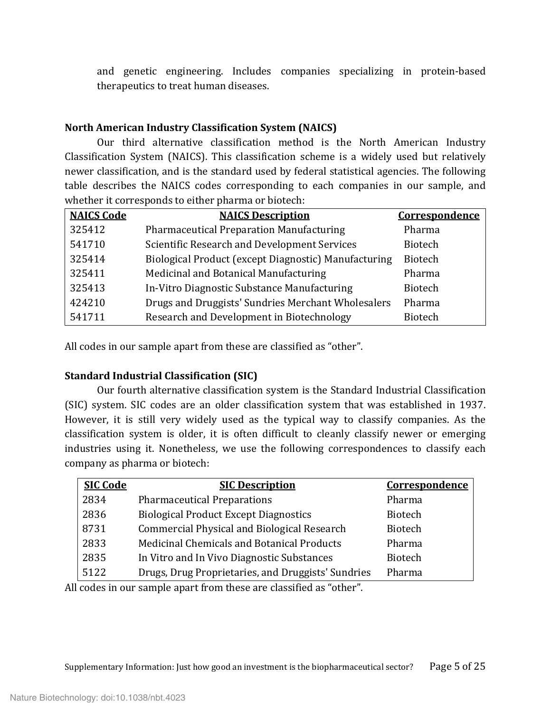and genetic engineering. Includes companies specializing in protein-based therapeutics to treat human diseases.

## **North American Industry Classification System (NAICS)**

Our third alternative classification method is the North American Industry Classification System (NAICS). This classification scheme is a widely used but relatively newer classification, and is the standard used by federal statistical agencies. The following table describes the NAICS codes corresponding to each companies in our sample, and whether it corresponds to either pharma or biotech:

| <b>NAICS Code</b> | <b>NAICS Description</b>                             | Correspondence |
|-------------------|------------------------------------------------------|----------------|
| 325412            | <b>Pharmaceutical Preparation Manufacturing</b>      | Pharma         |
| 541710            | Scientific Research and Development Services         | <b>Biotech</b> |
| 325414            | Biological Product (except Diagnostic) Manufacturing | <b>Biotech</b> |
| 325411            | Medicinal and Botanical Manufacturing                | Pharma         |
| 325413            | In-Vitro Diagnostic Substance Manufacturing          | Biotech        |
| 424210            | Drugs and Druggists' Sundries Merchant Wholesalers   | Pharma         |
| 541711            | Research and Development in Biotechnology            | <b>Biotech</b> |

All codes in our sample apart from these are classified as "other".

# **Standard Industrial Classification (SIC)**

Our fourth alternative classification system is the Standard Industrial Classification (SIC) system. SIC codes are an older classification system that was established in 1937. However, it is still very widely used as the typical way to classify companies. As the classification system is older, it is often difficult to cleanly classify newer or emerging industries using it. Nonetheless, we use the following correspondences to classify each company as pharma or biotech:

| <b>SIC Code</b> | <b>SIC Description</b>                             | Correspondence |
|-----------------|----------------------------------------------------|----------------|
| 2834            | <b>Pharmaceutical Preparations</b>                 | Pharma         |
| 2836            | <b>Biological Product Except Diagnostics</b>       | <b>Biotech</b> |
| 8731            | <b>Commercial Physical and Biological Research</b> | <b>Biotech</b> |
| 2833            | Medicinal Chemicals and Botanical Products         | Pharma         |
| 2835            | In Vitro and In Vivo Diagnostic Substances         | <b>Biotech</b> |
| 5122            | Drugs, Drug Proprietaries, and Druggists' Sundries | Pharma         |
|                 |                                                    |                |

All codes in our sample apart from these are classified as "other".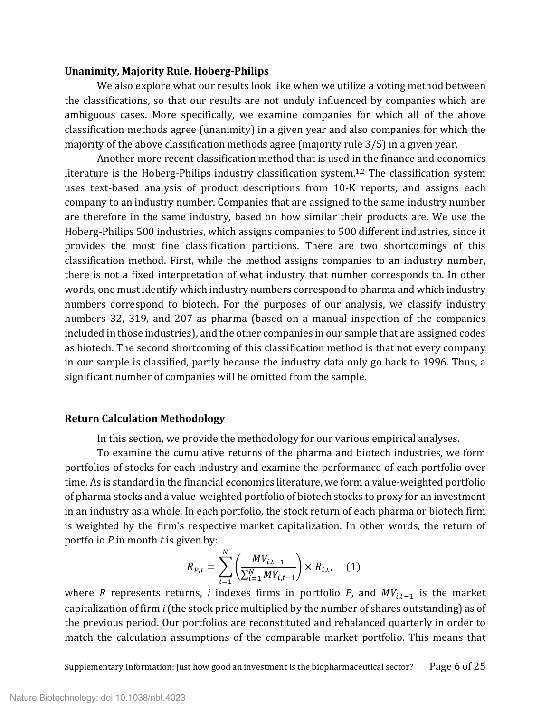#### **Unanimity, Majority Rule, Hoberg-Philips**

We also explore what our results look like when we utilize a voting method between the classifications, so that our results are not unduly influenced by companies which are ambiguous cases. More specifically, we examine companies for which all of the above classification methods agree (unanimity) in a given year and also companies for which the majority of the above classification methods agree (majority rule 3/5) in a given year.

Another more recent classification method that is used in the finance and economics literature is the Hoberg-Philips industry classification system.<sup>1,[2](#page-24-1)</sup> The classification system uses text-based analysis of product descriptions from 10-K reports, and assigns each company to an industry number. Companies that are assigned to the same industry number are therefore in the same industry, based on how similar their products are. We use the Hoberg-Philips 500 industries, which assigns companies to 500 different industries, since it provides the most fine classification partitions. There are two shortcomings of this classification method. First, while the method assigns companies to an industry number, there is not a fixed interpretation of what industry that number corresponds to. In other words, one must identify which industry numbers correspond to pharma and which industry numbers correspond to biotech. For the purposes of our analysis, we classify industry numbers 32, 319, and 207 as pharma (based on a manual inspection of the companies included in those industries), and the other companies in our sample that are assigned codes as biotech. The second shortcoming of this classification method is that not every company in our sample is classified, partly because the industry data only go back to 1996. Thus, a significant number of companies will be omitted from the sample.

#### **Return Calculation Methodology**

In this section, we provide the methodology for our various empirical analyses.

To examine the cumulative returns of the pharma and biotech industries, we form portfolios of stocks for each industry and examine the performance of each portfolio over time. As is standard in the financial economics literature, we form a value-weighted portfolio of pharma stocks and a value-weighted portfolio of biotech stocks to proxy for an investment in an industry as a whole. In each portfolio, the stock return of each pharma or biotech firm is weighted by the firm's respective market capitalization. In other words, the return of portfolio *P* in month *t* is given by:

$$
R_{P,t} = \sum_{i=1}^{N} \left( \frac{MV_{i,t-1}}{\sum_{i=1}^{N} MV_{i,t-1}} \right) \times R_{i,t}, \quad (1)
$$

where *R* represents returns, *i* indexes firms in portfolio *P*, and  $MV_{i,t-1}$  is the market capitalization of firm *i* (the stock price multiplied by the number of shares outstanding) as of the previous period. Our portfolios are reconstituted and rebalanced quarterly in order to match the calculation assumptions of the comparable market portfolio. This means that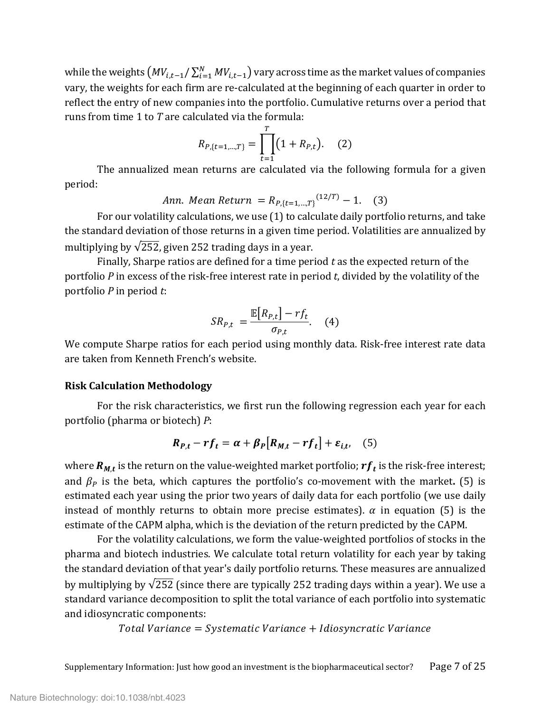while the weights  $\left(MV_{i,t-1}/\sum_{i=1}^{N}MV_{i,t-1}\right)$  vary across time as the market values of companies vary, the weights for each firm are re-calculated at the beginning of each quarter in order to reflect the entry of new companies into the portfolio. Cumulative returns over a period that runs from time 1 to *T* are calculated via the formula:

$$
R_{P,\{t=1,\dots,T\}} = \prod_{t=1}^{T} (1 + R_{P,t}). \quad (2)
$$

The annualized mean returns are calculated via the following formula for a given period:

*Ann. Mean Return* = 
$$
R_{P,\{t=1,\dots,T\}}^{(12/T)} - 1.
$$
 (3)

For our volatility calculations, we use (1) to calculate daily portfolio returns, and take the standard deviation of those returns in a given time period. Volatilities are annualized by multiplying by  $\sqrt{252}$ , given 252 trading days in a year.

Finally, Sharpe ratios are defined for a time period *t* as the expected return of the portfolio *P* in excess of the risk-free interest rate in period *t*, divided by the volatility of the portfolio *P* in period *t*:

$$
SR_{P,t} = \frac{\mathbb{E}[R_{P,t}] - rf_t}{\sigma_{P,t}}.
$$
 (4)

We compute Sharpe ratios for each period using monthly data. Risk-free interest rate data are taken from Kenneth French's website.

#### **Risk Calculation Methodology**

For the risk characteristics, we first run the following regression each year for each portfolio (pharma or biotech) *P*:

$$
R_{P,t} - rf_t = \alpha + \beta_P[R_{M,t} - rf_t] + \varepsilon_{i,t}, \quad (5)
$$

where  $R_{M,t}$  is the return on the value-weighted market portfolio;  $rf_t$  is the risk-free interest; and  $\beta_P$  is the beta, which captures the portfolio's co-movement with the market. **(5)** is estimated each year using the prior two years of daily data for each portfolio (we use daily instead of monthly returns to obtain more precise estimates).  $\alpha$  in equation (5) is the estimate of the CAPM alpha, which is the deviation of the return predicted by the CAPM.

For the volatility calculations, we form the value-weighted portfolios of stocks in the pharma and biotech industries. We calculate total return volatility for each year by taking the standard deviation of that year's daily portfolio returns. These measures are annualized by multiplying by  $\sqrt{252}$  (since there are typically 252 trading days within a year). We use a standard variance decomposition to split the total variance of each portfolio into systematic and idiosyncratic components:

 $Total Variance = Systematic Variance + Idiosyncratic Variance$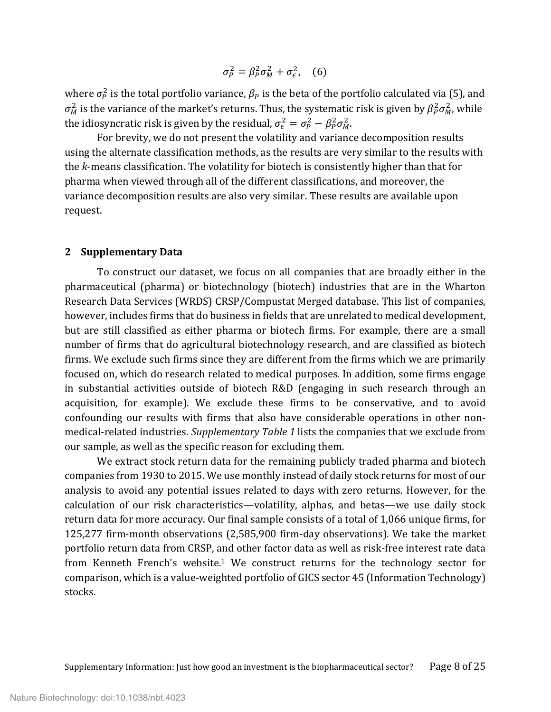$$
\sigma_P^2 = \beta_P^2 \sigma_M^2 + \sigma_{\epsilon}^2, \quad (6)
$$

where  $\sigma_p^2$  is the total portfolio variance,  $\beta_P$  is the beta of the portfolio calculated via (5), and  $\sigma_M^2$  is the variance of the market's returns. Thus, the systematic risk is given by  $\beta_P^2 \sigma_M^2$ , while the idiosyncratic risk is given by the residual,  $\sigma_{\epsilon}^2 = \sigma_{p}^2 - \beta_{p}^2 \sigma_{M}^2$ .

For brevity, we do not present the volatility and variance decomposition results using the alternate classification methods, as the results are very similar to the results with the *k*-means classification. The volatility for biotech is consistently higher than that for pharma when viewed through all of the different classifications, and moreover, the variance decomposition results are also very similar. These results are available upon request.

#### **2 Supplementary Data**

To construct our dataset, we focus on all companies that are broadly either in the pharmaceutical (pharma) or biotechnology (biotech) industries that are in the Wharton Research Data Services (WRDS) CRSP/Compustat Merged database. This list of companies, however, includes firms that do business in fields that are unrelated to medical development, but are still classified as either pharma or biotech firms. For example, there are a small number of firms that do agricultural biotechnology research, and are classified as biotech firms. We exclude such firms since they are different from the firms which we are primarily focused on, which do research related to medical purposes. In addition, some firms engage in substantial activities outside of biotech R&D (engaging in such research through an acquisition, for example). We exclude these firms to be conservative, and to avoid confounding our results with firms that also have considerable operations in other nonmedical-related industries. *Supplementary Table 1* lists the companies that we exclude from our sample, as well as the specific reason for excluding them.

We extract stock return data for the remaining publicly traded pharma and biotech companies from 1930 to 2015. We use monthly instead of daily stock returns for most of our analysis to avoid any potential issues related to days with zero returns. However, for the calculation of our risk characteristics—volatility, alphas, and betas—we use daily stock return data for more accuracy. Our final sample consists of a total of 1,066 unique firms, for 125,277 firm-month observations (2,585,900 firm-day observations). We take the market portfolio return data from CRSP, and other factor data as well as risk-free interest rate data from Kenneth French's website[.1](#page-24-2) We construct returns for the technology sector for comparison, which is a value-weighted portfolio of GICS sector 45 (Information Technology) stocks.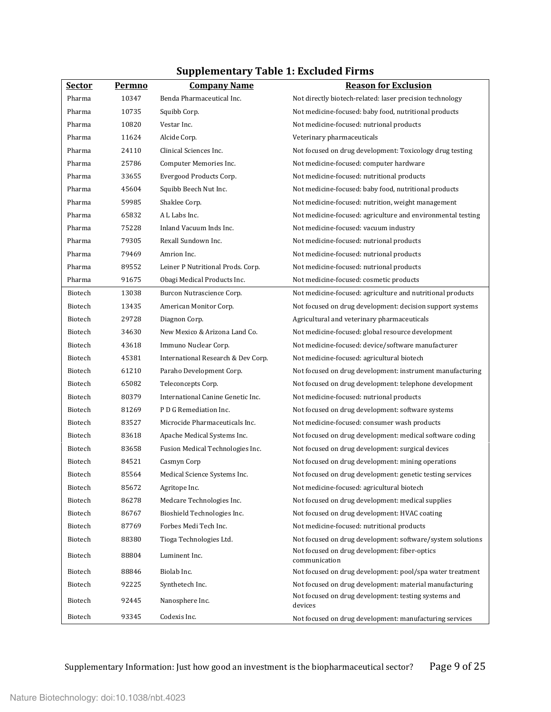| <u>Sector</u>  | Permno | <b>Company Name</b>                | <b>Reason for Exclusion</b>                                     |
|----------------|--------|------------------------------------|-----------------------------------------------------------------|
| Pharma         | 10347  | Benda Pharmaceutical Inc.          | Not directly biotech-related: laser precision technology        |
| Pharma         | 10735  | Squibb Corp.                       | Not medicine-focused: baby food, nutritional products           |
| Pharma         | 10820  | Vestar Inc.                        | Not medicine-focused: nutrional products                        |
| Pharma         | 11624  | Alcide Corp.                       | Veterinary pharmaceuticals                                      |
| Pharma         | 24110  | Clinical Sciences Inc.             | Not focused on drug development: Toxicology drug testing        |
| Pharma         | 25786  | Computer Memories Inc.             | Not medicine-focused: computer hardware                         |
| Pharma         | 33655  | Evergood Products Corp.            | Not medicine-focused: nutritional products                      |
| Pharma         | 45604  | Squibb Beech Nut Inc.              | Not medicine-focused: baby food, nutritional products           |
| Pharma         | 59985  | Shaklee Corp.                      | Not medicine-focused: nutrition, weight management              |
| Pharma         | 65832  | A L Labs Inc.                      | Not medicine-focused: agriculture and environmental testing     |
| Pharma         | 75228  | Inland Vacuum Inds Inc.            | Not medicine-focused: vacuum industry                           |
| Pharma         | 79305  | Rexall Sundown Inc.                | Not medicine-focused: nutrional products                        |
| Pharma         | 79469  | Amrion Inc.                        | Not medicine-focused: nutrional products                        |
| Pharma         | 89552  | Leiner P Nutritional Prods. Corp.  | Not medicine-focused: nutrional products                        |
| Pharma         | 91675  | Obagi Medical Products Inc.        | Not medicine-focused: cosmetic products                         |
| Biotech        | 13038  | Burcon Nutrascience Corp.          | Not medicine-focused: agriculture and nutritional products      |
| Biotech        | 13435  | American Monitor Corp.             | Not focused on drug development: decision support systems       |
| <b>Biotech</b> | 29728  | Diagnon Corp.                      | Agricultural and veterinary pharmaceuticals                     |
| Biotech        | 34630  | New Mexico & Arizona Land Co.      | Not medicine-focused: global resource development               |
| Biotech        | 43618  | Immuno Nuclear Corp.               | Not medicine-focused: device/software manufacturer              |
| <b>Biotech</b> | 45381  | International Research & Dev Corp. | Not medicine-focused: agricultural biotech                      |
| Biotech        | 61210  | Paraho Development Corp.           | Not focused on drug development: instrument manufacturing       |
| <b>Biotech</b> | 65082  | Teleconcepts Corp.                 | Not focused on drug development: telephone development          |
| Biotech        | 80379  | International Canine Genetic Inc.  | Not medicine-focused: nutrional products                        |
| Biotech        | 81269  | P D G Remediation Inc.             | Not focused on drug development: software systems               |
| Biotech        | 83527  | Microcide Pharmaceuticals Inc.     | Not medicine-focused: consumer wash products                    |
| Biotech        | 83618  | Apache Medical Systems Inc.        | Not focused on drug development: medical software coding        |
| Biotech        | 83658  | Fusion Medical Technologies Inc.   | Not focused on drug development: surgical devices               |
| Biotech        | 84521  | Casmyn Corp                        | Not focused on drug development: mining operations              |
| Biotech        | 85564  | Medical Science Systems Inc.       | Not focused on drug development: genetic testing services       |
| Biotech        | 85672  | Agritope Inc.                      | Not medicine-focused: agricultural biotech                      |
| Biotech        | 86278  | Medcare Technologies Inc.          | Not focused on drug development: medical supplies               |
| Biotech        | 86767  | Bioshield Technologies Inc.        | Not focused on drug development: HVAC coating                   |
| Biotech        | 87769  | Forbes Medi Tech Inc.              | Not medicine-focused: nutritional products                      |
| Biotech        | 88380  | Tioga Technologies Ltd.            | Not focused on drug development: software/system solutions      |
| Biotech        | 88804  | Luminent Inc.                      | Not focused on drug development: fiber-optics<br>communication  |
| Biotech        | 88846  | Biolab Inc.                        | Not focused on drug development: pool/spa water treatment       |
| Biotech        | 92225  | Synthetech Inc.                    | Not focused on drug development: material manufacturing         |
| Biotech        | 92445  | Nanosphere Inc.                    | Not focused on drug development: testing systems and<br>devices |
| Biotech        | 93345  | Codexis Inc.                       | Not focused on drug development: manufacturing services         |

# **Supplementary Table 1: Excluded Firms**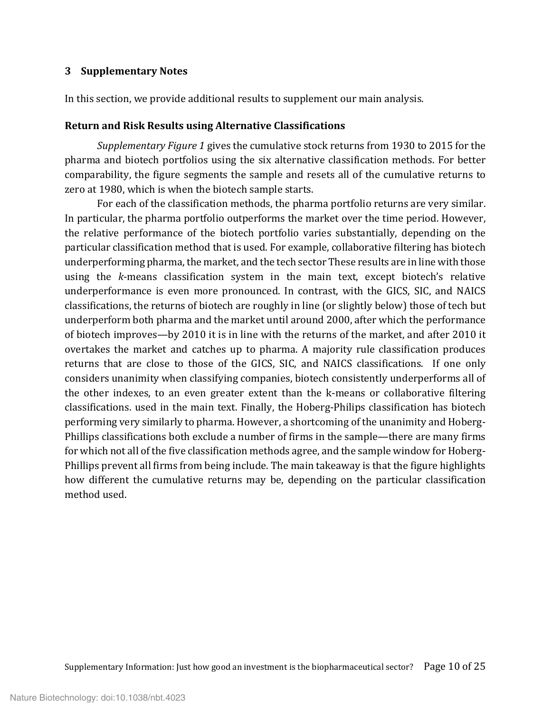#### **3 Supplementary Notes**

In this section, we provide additional results to supplement our main analysis.

#### **Return and Risk Results using Alternative Classifications**

*Supplementary Figure 1* gives the cumulative stock returns from 1930 to 2015 for the pharma and biotech portfolios using the six alternative classification methods. For better comparability, the figure segments the sample and resets all of the cumulative returns to zero at 1980, which is when the biotech sample starts.

For each of the classification methods, the pharma portfolio returns are very similar. In particular, the pharma portfolio outperforms the market over the time period. However, the relative performance of the biotech portfolio varies substantially, depending on the particular classification method that is used. For example, collaborative filtering has biotech underperforming pharma, the market, and the tech sector These results are in line with those using the *k*-means classification system in the main text, except biotech's relative underperformance is even more pronounced. In contrast, with the GICS, SIC, and NAICS classifications, the returns of biotech are roughly in line (or slightly below) those of tech but underperform both pharma and the market until around 2000, after which the performance of biotech improves—by 2010 it is in line with the returns of the market, and after 2010 it overtakes the market and catches up to pharma. A majority rule classification produces returns that are close to those of the GICS, SIC, and NAICS classifications. If one only considers unanimity when classifying companies, biotech consistently underperforms all of the other indexes, to an even greater extent than the k-means or collaborative filtering classifications. used in the main text. Finally, the Hoberg-Philips classification has biotech performing very similarly to pharma. However, a shortcoming of the unanimity and Hoberg-Phillips classifications both exclude a number of firms in the sample—there are many firms for which not all of the five classification methods agree, and the sample window for Hoberg-Phillips prevent all firms from being include. The main takeaway is that the figure highlights how different the cumulative returns may be, depending on the particular classification method used.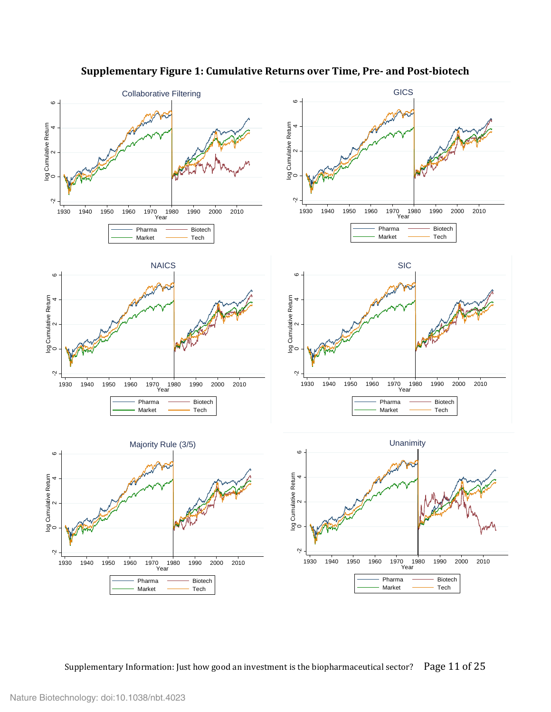

# **Supplementary Figure 1: Cumulative Returns over Time, Pre- and Post-biotech**

Supplementary Information: Just how good an investment is the biopharmaceutical sector? Page 11 of 25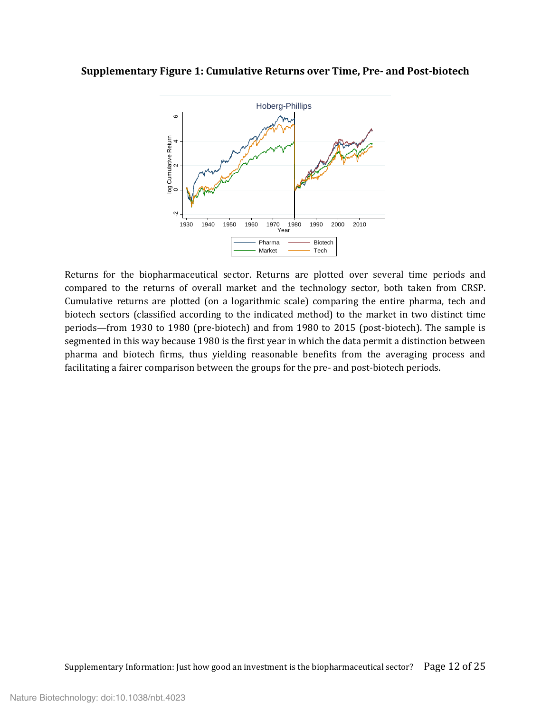#### **Supplementary Figure 1: Cumulative Returns over Time, Pre- and Post-biotech**



Returns for the biopharmaceutical sector. Returns are plotted over several time periods and compared to the returns of overall market and the technology sector, both taken from CRSP. Cumulative returns are plotted (on a logarithmic scale) comparing the entire pharma, tech and biotech sectors (classified according to the indicated method) to the market in two distinct time periods—from 1930 to 1980 (pre-biotech) and from 1980 to 2015 (post-biotech). The sample is segmented in this way because 1980 is the first year in which the data permit a distinction between pharma and biotech firms, thus yielding reasonable benefits from the averaging process and Facilitating a fairer comparison between the groups for the pre- and post-biotech periods.<br>
Facilitating a fairer comparison between the groups for the pre- and post-biotech periods. -2013<br>
The pharma and biotech firms, th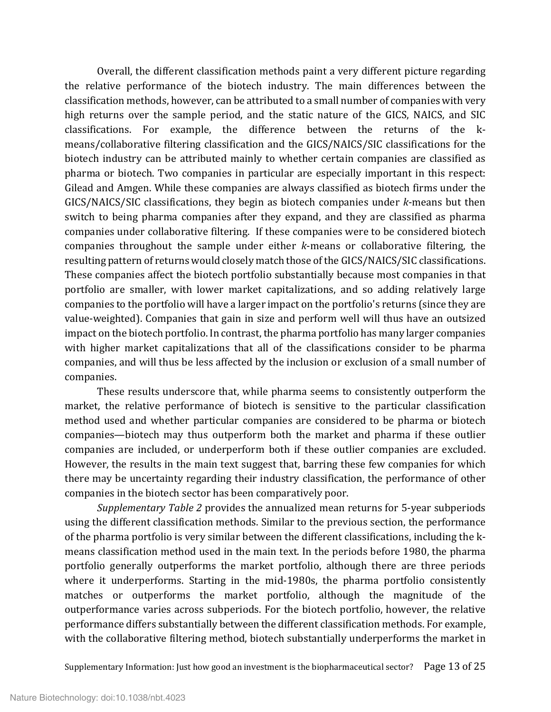Overall, the different classification methods paint a very different picture regarding the relative performance of the biotech industry. The main differences between the classification methods, however, can be attributed to a small number of companies with very high returns over the sample period, and the static nature of the GICS, NAICS, and SIC classifications. For example, the difference between the returns of the kmeans/collaborative filtering classification and the GICS/NAICS/SIC classifications for the biotech industry can be attributed mainly to whether certain companies are classified as pharma or biotech. Two companies in particular are especially important in this respect: Gilead and Amgen. While these companies are always classified as biotech firms under the GICS/NAICS/SIC classifications, they begin as biotech companies under *k*-means but then switch to being pharma companies after they expand, and they are classified as pharma companies under collaborative filtering. If these companies were to be considered biotech companies throughout the sample under either *k*-means or collaborative filtering, the resulting pattern of returns would closely match those of the GICS/NAICS/SIC classifications. These companies affect the biotech portfolio substantially because most companies in that portfolio are smaller, with lower market capitalizations, and so adding relatively large companies to the portfolio will have a larger impact on the portfolio's returns (since they are value-weighted). Companies that gain in size and perform well will thus have an outsized impact on the biotech portfolio. In contrast, the pharma portfolio has many larger companies with higher market capitalizations that all of the classifications consider to be pharma companies, and will thus be less affected by the inclusion or exclusion of a small number of companies.

These results underscore that, while pharma seems to consistently outperform the market, the relative performance of biotech is sensitive to the particular classification method used and whether particular companies are considered to be pharma or biotech companies—biotech may thus outperform both the market and pharma if these outlier companies are included, or underperform both if these outlier companies are excluded. However, the results in the main text suggest that, barring these few companies for which there may be uncertainty regarding their industry classification, the performance of other companies in the biotech sector has been comparatively poor.

*Supplementary Table 2* provides the annualized mean returns for 5-year subperiods using the different classification methods. Similar to the previous section, the performance of the pharma portfolio is very similar between the different classifications, including the kmeans classification method used in the main text. In the periods before 1980, the pharma portfolio generally outperforms the market portfolio, although there are three periods where it underperforms. Starting in the mid-1980s, the pharma portfolio consistently matches or outperforms the market portfolio, although the magnitude of the outperformance varies across subperiods. For the biotech portfolio, however, the relative performance differs substantially between the different classification methods. For example, with the collaborative filtering method, biotech substantially underperforms the market in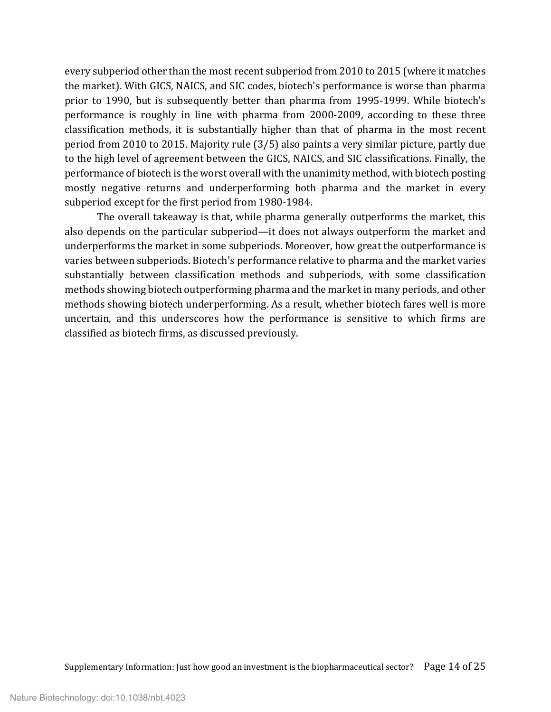every subperiod other than the most recent subperiod from 2010 to 2015 (where it matches the market). With GICS, NAICS, and SIC codes, biotech's performance is worse than pharma prior to 1990, but is subsequently better than pharma from 1995-1999. While biotech's performance is roughly in line with pharma from 2000-2009, according to these three classification methods, it is substantially higher than that of pharma in the most recent period from 2010 to 2015. Majority rule (3/5) also paints a very similar picture, partly due to the high level of agreement between the GICS, NAICS, and SIC classifications. Finally, the performance of biotech is the worst overall with the unanimity method, with biotech posting mostly negative returns and underperforming both pharma and the market in every subperiod except for the first period from 1980-1984.

The overall takeaway is that, while pharma generally outperforms the market, this also depends on the particular subperiod—it does not always outperform the market and underperforms the market in some subperiods. Moreover, how great the outperformance is varies between subperiods. Biotech's performance relative to pharma and the market varies substantially between classification methods and subperiods, with some classification methods showing biotech outperforming pharma and the market in many periods, and other methods showing biotech underperforming. As a result, whether biotech fares well is more uncertain, and this underscores how the performance is sensitive to which firms are classified as biotech firms, as discussed previously.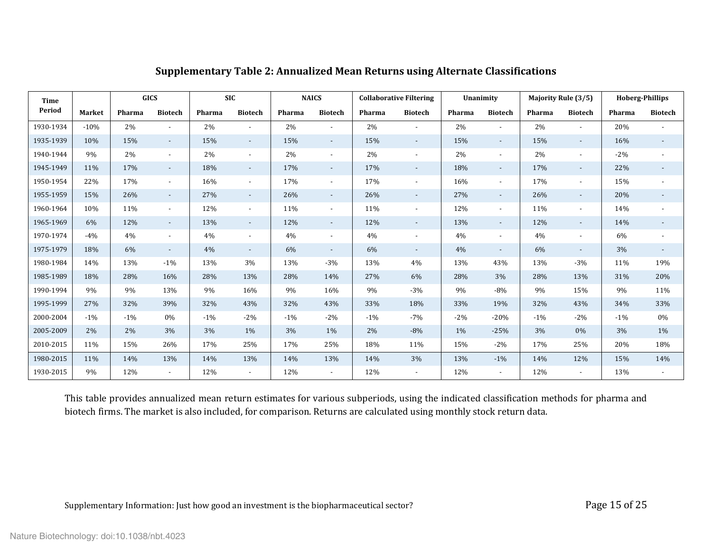| <b>Time</b> |               | <b>GICS</b> |                          |        | <b>SIC</b>               |        | <b>NAICS</b>             |        | <b>Collaborative Filtering</b> |        | Unanimity                |        | <b>Majority Rule (3/5)</b> | <b>Hoberg-Phillips</b> |                          |
|-------------|---------------|-------------|--------------------------|--------|--------------------------|--------|--------------------------|--------|--------------------------------|--------|--------------------------|--------|----------------------------|------------------------|--------------------------|
| Period      | <b>Market</b> | Pharma      | <b>Biotech</b>           | Pharma | <b>Biotech</b>           | Pharma | <b>Biotech</b>           | Pharma | <b>Biotech</b>                 | Pharma | <b>Biotech</b>           | Pharma | <b>Biotech</b>             | Pharma                 | <b>Biotech</b>           |
| 1930-1934   | $-10%$        | 2%          |                          | 2%     | $\overline{a}$           | 2%     |                          | 2%     |                                | 2%     | $\overline{\phantom{a}}$ | 2%     |                            | 20%                    |                          |
| 1935-1939   | 10%           | 15%         | $\overline{\phantom{a}}$ | 15%    | $\overline{\phantom{a}}$ | 15%    | $\sim$                   | 15%    | $\sim$                         | 15%    | $\sim$                   | 15%    | $\overline{\phantom{a}}$   | 16%                    | $\overline{\phantom{a}}$ |
| 1940-1944   | 9%            | 2%          | $\overline{\phantom{a}}$ | 2%     | $\blacksquare$           | 2%     | $\overline{\phantom{a}}$ | $2\%$  | $\sim$                         | $2\%$  | $\sim$                   | 2%     | $\overline{\phantom{a}}$   | $-2%$                  | $\overline{\phantom{0}}$ |
| 1945-1949   | 11%           | 17%         | $\sim$                   | 18%    | $\overline{\phantom{a}}$ | 17%    | $\sim$                   | 17%    | $\sim$                         | 18%    | $\sim$                   | 17%    | $\overline{\phantom{a}}$   | 22%                    | $\overline{\phantom{a}}$ |
| 1950-1954   | 22%           | 17%         | $\overline{a}$           | 16%    | $\overline{\phantom{a}}$ | 17%    | $\overline{\phantom{a}}$ | 17%    | $\overline{\phantom{a}}$       | 16%    | $\sim$                   | 17%    | $\overline{\phantom{a}}$   | 15%                    |                          |
| 1955-1959   | 15%           | 26%         | $\overline{\phantom{a}}$ | 27%    | $\overline{\phantom{a}}$ | 26%    | $\sim$                   | 26%    | $\sim$                         | 27%    | $\sim$                   | 26%    | $\overline{\phantom{a}}$   | 20%                    | $\overline{\phantom{0}}$ |
| 1960-1964   | 10%           | 11%         | $\overline{\phantom{a}}$ | 12%    | $\overline{\phantom{a}}$ | 11%    | $\blacksquare$           | 11%    | $\sim$                         | 12%    | $\sim$                   | 11%    | $\overline{\phantom{a}}$   | 14%                    | $\overline{\phantom{0}}$ |
| 1965-1969   | 6%            | 12%         | $\sim$                   | 13%    | $\overline{\phantom{a}}$ | 12%    | $\sim$                   | 12%    | $\sim$                         | 13%    | $\sim$                   | 12%    | $\sim$                     | 14%                    | $\overline{\phantom{a}}$ |
| 1970-1974   | $-4%$         | 4%          | $\overline{\phantom{a}}$ | 4%     | $\blacksquare$           | 4%     | $\overline{\phantom{a}}$ | 4%     | $\overline{\phantom{a}}$       | 4%     | $\overline{\phantom{0}}$ | 4%     | $\overline{\phantom{a}}$   | 6%                     |                          |
| 1975-1979   | 18%           | 6%          | $\overline{\phantom{a}}$ | 4%     | $\overline{\phantom{a}}$ | 6%     | $\sim$                   | 6%     | $\overline{\phantom{a}}$       | 4%     | $\sim$                   | 6%     | $\overline{\phantom{a}}$   | 3%                     | $\blacksquare$           |
| 1980-1984   | 14%           | 13%         | $-1%$                    | 13%    | 3%                       | 13%    | $-3%$                    | 13%    | 4%                             | 13%    | 43%                      | 13%    | $-3%$                      | 11%                    | 19%                      |
| 1985-1989   | 18%           | 28%         | 16%                      | 28%    | 13%                      | 28%    | 14%                      | 27%    | 6%                             | 28%    | 3%                       | 28%    | 13%                        | 31%                    | 20%                      |
| 1990-1994   | 9%            | 9%          | 13%                      | 9%     | 16%                      | 9%     | 16%                      | 9%     | $-3%$                          | 9%     | $-8%$                    | 9%     | 15%                        | 9%                     | 11%                      |
| 1995-1999   | 27%           | 32%         | 39%                      | 32%    | 43%                      | 32%    | 43%                      | 33%    | 18%                            | 33%    | 19%                      | 32%    | 43%                        | 34%                    | 33%                      |
| 2000-2004   | $-1\%$        | $-1\%$      | 0%                       | $-1\%$ | $-2\%$                   | $-1\%$ | $-2\%$                   | $-1\%$ | $-7%$                          | $-2%$  | $-20%$                   | $-1\%$ | $-2%$                      | $-1\%$                 | 0%                       |
| 2005-2009   | 2%            | 2%          | 3%                       | 3%     | $1\%$                    | 3%     | $1\%$                    | 2%     | $-8%$                          | $1\%$  | $-25%$                   | 3%     | 0%                         | 3%                     | 1%                       |
| 2010-2015   | 11%           | 15%         | 26%                      | 17%    | 25%                      | 17%    | 25%                      | 18%    | 11%                            | 15%    | $-2\%$                   | 17%    | 25%                        | 20%                    | 18%                      |
| 1980-2015   | 11%           | 14%         | 13%                      | 14%    | 13%                      | 14%    | 13%                      | 14%    | 3%                             | 13%    | $-1\%$                   | 14%    | 12%                        | 15%                    | 14%                      |
| 1930-2015   | 9%            | 12%         | $\overline{\phantom{a}}$ | 12%    | $\overline{\phantom{a}}$ | 12%    | $\overline{\phantom{a}}$ | 12%    | $\overline{\phantom{a}}$       | 12%    | $\sim$                   | 12%    | $\overline{\phantom{a}}$   | 13%                    |                          |

# **Supplementary Table 2: Annualized Mean Returns using Alternate Classifications**

This table provides annualized mean return estimates for various subperiods, using the indicated classification methods for pharma and biotech firms. The market is also included, for comparison. Returns are calculated using monthly stock return data.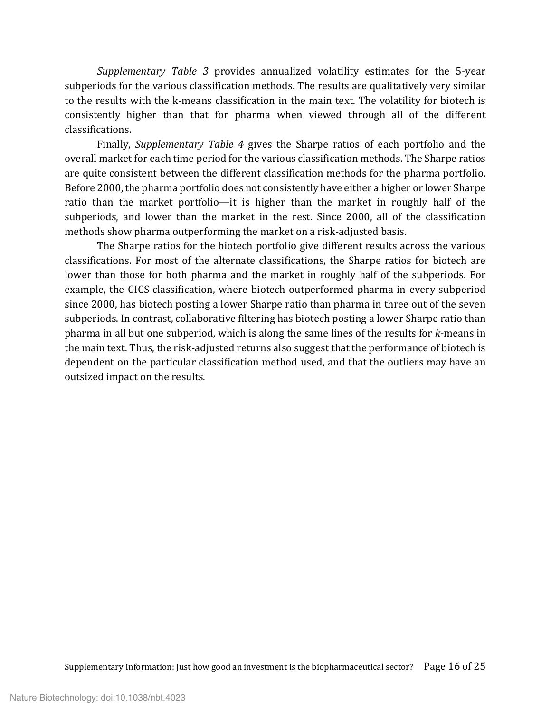*Supplementary Table 3* provides annualized volatility estimates for the 5-year subperiods for the various classification methods. The results are qualitatively very similar to the results with the k-means classification in the main text. The volatility for biotech is consistently higher than that for pharma when viewed through all of the different classifications.

Finally, *Supplementary Table 4* gives the Sharpe ratios of each portfolio and the overall market for each time period for the various classification methods. The Sharpe ratios are quite consistent between the different classification methods for the pharma portfolio. Before 2000, the pharma portfolio does not consistently have either a higher or lower Sharpe ratio than the market portfolio—it is higher than the market in roughly half of the subperiods, and lower than the market in the rest. Since 2000, all of the classification methods show pharma outperforming the market on a risk-adjusted basis.

The Sharpe ratios for the biotech portfolio give different results across the various classifications. For most of the alternate classifications, the Sharpe ratios for biotech are lower than those for both pharma and the market in roughly half of the subperiods. For example, the GICS classification, where biotech outperformed pharma in every subperiod since 2000, has biotech posting a lower Sharpe ratio than pharma in three out of the seven subperiods. In contrast, collaborative filtering has biotech posting a lower Sharpe ratio than pharma in all but one subperiod, which is along the same lines of the results for *k*-means in the main text. Thus, the risk-adjusted returns also suggest that the performance of biotech is dependent on the particular classification method used, and that the outliers may have an outsized impact on the results.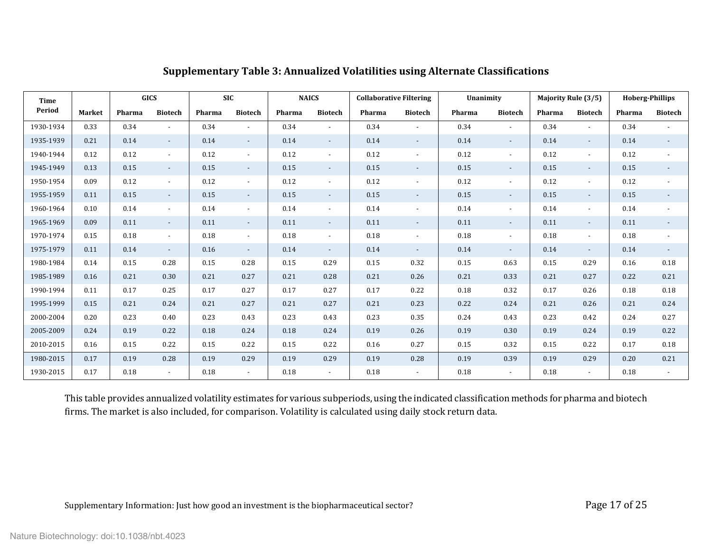| Time      |               |        | <b>GICS</b>              |        | <b>SIC</b>               | <b>NAICS</b> |                          | <b>Collaborative Filtering</b> |                          | Unanimity |                |        | Majority Rule (3/5)      | <b>Hoberg-Phillips</b> |                          |
|-----------|---------------|--------|--------------------------|--------|--------------------------|--------------|--------------------------|--------------------------------|--------------------------|-----------|----------------|--------|--------------------------|------------------------|--------------------------|
| Period    | <b>Market</b> | Pharma | <b>Biotech</b>           | Pharma | <b>Biotech</b>           | Pharma       | <b>Biotech</b>           | Pharma                         | <b>Biotech</b>           | Pharma    | <b>Biotech</b> | Pharma | <b>Biotech</b>           | Pharma                 | <b>Biotech</b>           |
| 1930-1934 | 0.33          | 0.34   |                          | 0.34   | $\overline{a}$           | 0.34         |                          | 0.34                           | $\overline{\phantom{a}}$ | 0.34      | $\overline{a}$ | 0.34   | $\overline{a}$           | 0.34                   |                          |
| 1935-1939 | 0.21          | 0.14   | $\sim$                   | 0.14   | $\sim$                   | 0.14         | $\sim$                   | 0.14                           | $\overline{\phantom{a}}$ | 0.14      | $\sim$         | 0.14   | $\overline{\phantom{a}}$ | 0.14                   |                          |
| 1940-1944 | 0.12          | 0.12   | $\sim$                   | 0.12   | $\overline{\phantom{a}}$ | 0.12         | $\overline{\phantom{a}}$ | 0.12                           | $\overline{\phantom{a}}$ | 0.12      | $\sim$         | 0.12   |                          | 0.12                   |                          |
| 1945-1949 | 0.13          | 0.15   | $\sim$                   | 0.15   | $\overline{\phantom{a}}$ | 0.15         | $\overline{\phantom{a}}$ | 0.15                           | $\sim$                   | 0.15      | $\sim$         | 0.15   | $\overline{a}$           | 0.15                   | $\overline{\phantom{a}}$ |
| 1950-1954 | 0.09          | 0.12   | $\sim$                   | 0.12   | $\blacksquare$           | 0.12         | $\overline{\phantom{a}}$ | 0.12                           | $\blacksquare$           | 0.12      | $\sim$         | 0.12   | $\overline{\phantom{a}}$ | 0.12                   |                          |
| 1955-1959 | 0.11          | 0.15   | $\sim$                   | 0.15   | $\sim$                   | 0.15         | $\overline{\phantom{a}}$ | 0.15                           | $\overline{\phantom{a}}$ | 0.15      | $\sim$         | 0.15   | $\overline{\phantom{a}}$ | 0.15                   |                          |
| 1960-1964 | 0.10          | 0.14   | $\sim$                   | 0.14   | $\overline{\phantom{a}}$ | 0.14         | $\overline{\phantom{a}}$ | 0.14                           | $\blacksquare$           | 0.14      | $\sim$         | 0.14   | $\overline{a}$           | 0.14                   |                          |
| 1965-1969 | 0.09          | 0.11   | $\sim$                   | 0.11   | $\overline{\phantom{a}}$ | 0.11         | $\sim$                   | 0.11                           | $\overline{\phantom{a}}$ | 0.11      | $\sim$         | 0.11   | $\overline{\phantom{a}}$ | 0.11                   |                          |
| 1970-1974 | 0.15          | 0.18   | $\overline{\phantom{a}}$ | 0.18   | $\blacksquare$           | 0.18         | $\overline{\phantom{a}}$ | 0.18                           | $\blacksquare$           | 0.18      | $\sim$         | 0.18   | $\overline{\phantom{a}}$ | 0.18                   |                          |
| 1975-1979 | 0.11          | 0.14   | $\sim$                   | 0.16   | $\sim$                   | 0.14         | $\sim$                   | 0.14                           | $\sim$                   | 0.14      | $\sim$         | 0.14   | $\overline{a}$           | 0.14                   | $\sim$                   |
| 1980-1984 | 0.14          | 0.15   | 0.28                     | 0.15   | 0.28                     | 0.15         | 0.29                     | 0.15                           | 0.32                     | 0.15      | 0.63           | 0.15   | 0.29                     | 0.16                   | 0.18                     |
| 1985-1989 | 0.16          | 0.21   | 0.30                     | 0.21   | 0.27                     | 0.21         | 0.28                     | 0.21                           | 0.26                     | 0.21      | 0.33           | 0.21   | 0.27                     | 0.22                   | 0.21                     |
| 1990-1994 | 0.11          | 0.17   | 0.25                     | 0.17   | 0.27                     | 0.17         | 0.27                     | 0.17                           | 0.22                     | 0.18      | 0.32           | 0.17   | 0.26                     | 0.18                   | 0.18                     |
| 1995-1999 | 0.15          | 0.21   | 0.24                     | 0.21   | 0.27                     | 0.21         | 0.27                     | 0.21                           | 0.23                     | 0.22      | 0.24           | 0.21   | 0.26                     | 0.21                   | 0.24                     |
| 2000-2004 | 0.20          | 0.23   | 0.40                     | 0.23   | 0.43                     | 0.23         | 0.43                     | 0.23                           | 0.35                     | 0.24      | 0.43           | 0.23   | 0.42                     | 0.24                   | 0.27                     |
| 2005-2009 | 0.24          | 0.19   | 0.22                     | 0.18   | 0.24                     | 0.18         | 0.24                     | 0.19                           | 0.26                     | 0.19      | 0.30           | 0.19   | 0.24                     | 0.19                   | 0.22                     |
| 2010-2015 | 0.16          | 0.15   | 0.22                     | 0.15   | 0.22                     | 0.15         | 0.22                     | 0.16                           | 0.27                     | 0.15      | 0.32           | 0.15   | 0.22                     | 0.17                   | 0.18                     |
| 1980-2015 | 0.17          | 0.19   | 0.28                     | 0.19   | 0.29                     | 0.19         | 0.29                     | 0.19                           | 0.28                     | 0.19      | 0.39           | 0.19   | 0.29                     | 0.20                   | 0.21                     |
| 1930-2015 | 0.17          | 0.18   | $\sim$                   | 0.18   | $\overline{\phantom{a}}$ | 0.18         | $\sim$                   | 0.18                           | $\overline{\phantom{a}}$ | 0.18      | $\sim$         | 0.18   | $\overline{\phantom{a}}$ | 0.18                   |                          |

# **Supplementary Table 3: Annualized Volatilities using Alternate Classifications**

This table provides annualized volatility estimates for various subperiods, using the indicated classification methods for pharma and biotech firms. The market is also included, for comparison. Volatility is calculated using daily stock return data.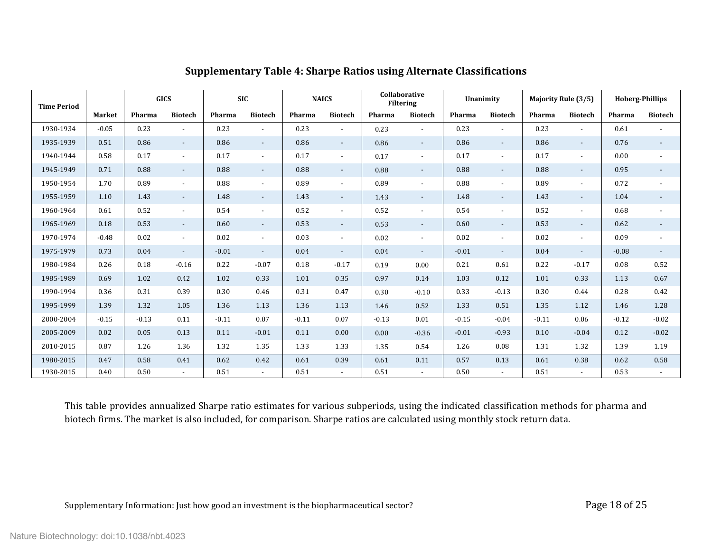| <b>Time Period</b> |         | <b>GICS</b> |                          | <b>SIC</b> |                          |         | <b>NAICS</b>             |         | Collaborative<br><b>Filtering</b> |         | Unanimity                |         | Majority Rule (3/5)      | <b>Hoberg-Phillips</b> |                          |
|--------------------|---------|-------------|--------------------------|------------|--------------------------|---------|--------------------------|---------|-----------------------------------|---------|--------------------------|---------|--------------------------|------------------------|--------------------------|
|                    | Market  | Pharma      | <b>Biotech</b>           | Pharma     | <b>Biotech</b>           | Pharma  | <b>Biotech</b>           | Pharma  | <b>Biotech</b>                    | Pharma  | <b>Biotech</b>           | Pharma  | <b>Biotech</b>           | Pharma                 | <b>Biotech</b>           |
| 1930-1934          | $-0.05$ | 0.23        | $\blacksquare$           | 0.23       | $\overline{\phantom{a}}$ | 0.23    | $\overline{\phantom{a}}$ | 0.23    | $\overline{a}$                    | 0.23    | $\sim$                   | 0.23    | $\overline{\phantom{a}}$ | 0.61                   |                          |
| 1935-1939          | 0.51    | 0.86        | $\overline{\phantom{a}}$ | 0.86       | $\sim$                   | 0.86    | $\sim$                   | 0.86    | $\overline{\phantom{a}}$          | 0.86    | $\sim$                   | 0.86    | $\blacksquare$           | 0.76                   |                          |
| 1940-1944          | 0.58    | 0.17        | $\blacksquare$           | 0.17       | $\overline{\phantom{a}}$ | 0.17    | $\overline{\phantom{a}}$ | 0.17    | $\overline{a}$                    | 0.17    | $\overline{\phantom{a}}$ | 0.17    | $\blacksquare$           | 0.00                   |                          |
| 1945-1949          | 0.71    | 0.88        | $\overline{\phantom{a}}$ | 0.88       | $\sim$                   | 0.88    | $\sim$                   | 0.88    | $\overline{\phantom{a}}$          | 0.88    | $\sim$                   | 0.88    | $\overline{\phantom{a}}$ | 0.95                   |                          |
| 1950-1954          | 1.70    | 0.89        | $\overline{\phantom{a}}$ | 0.88       | $\overline{\phantom{a}}$ | 0.89    | $\overline{\phantom{a}}$ | 0.89    | $\overline{\phantom{a}}$          | 0.88    | $\overline{\phantom{a}}$ | 0.89    | $\overline{a}$           | 0.72                   | $\overline{\phantom{a}}$ |
| 1955-1959          | 1.10    | 1.43        | $\overline{\phantom{a}}$ | 1.48       | $\overline{\phantom{a}}$ | 1.43    | $\sim$                   | 1.43    | $\overline{\phantom{a}}$          | 1.48    | $\sim$                   | 1.43    | $\overline{\phantom{a}}$ | 1.04                   |                          |
| 1960-1964          | 0.61    | 0.52        | $\blacksquare$           | 0.54       | $\sim$                   | 0.52    | $\overline{\phantom{a}}$ | 0.52    | $\blacksquare$                    | 0.54    | $\overline{\phantom{a}}$ | 0.52    | $\blacksquare$           | 0.68                   |                          |
| 1965-1969          | 0.18    | 0.53        | $\overline{\phantom{a}}$ | 0.60       | $\sim$                   | 0.53    | $\sim$                   | 0.53    | $\overline{\phantom{a}}$          | 0.60    | $\sim$                   | 0.53    | $\overline{\phantom{a}}$ | 0.62                   | $\overline{\phantom{a}}$ |
| 1970-1974          | $-0.48$ | 0.02        | $\blacksquare$           | 0.02       | $\overline{\phantom{a}}$ | 0.03    | $\overline{\phantom{a}}$ | 0.02    | $\overline{a}$                    | 0.02    | $\overline{\phantom{a}}$ | 0.02    | $\overline{a}$           | 0.09                   | $\overline{\phantom{a}}$ |
| 1975-1979          | 0.73    | 0.04        | $\overline{\phantom{a}}$ | $-0.01$    | $\overline{\phantom{a}}$ | 0.04    | $\overline{\phantom{a}}$ | 0.04    | $\overline{\phantom{a}}$          | $-0.01$ | $\overline{\phantom{a}}$ | 0.04    | $\blacksquare$           | $-0.08$                | $\overline{\phantom{a}}$ |
| 1980-1984          | 0.26    | 0.18        | $-0.16$                  | 0.22       | $-0.07$                  | 0.18    | $-0.17$                  | 0.19    | 0.00                              | 0.21    | 0.61                     | 0.22    | $-0.17$                  | 0.08                   | 0.52                     |
| 1985-1989          | 0.69    | 1.02        | 0.42                     | 1.02       | 0.33                     | 1.01    | 0.35                     | 0.97    | 0.14                              | 1.03    | 0.12                     | 1.01    | 0.33                     | 1.13                   | 0.67                     |
| 1990-1994          | 0.36    | 0.31        | 0.39                     | 0.30       | 0.46                     | 0.31    | 0.47                     | 0.30    | $-0.10$                           | 0.33    | $-0.13$                  | 0.30    | 0.44                     | 0.28                   | 0.42                     |
| 1995-1999          | 1.39    | 1.32        | 1.05                     | 1.36       | 1.13                     | 1.36    | 1.13                     | 1.46    | 0.52                              | 1.33    | 0.51                     | 1.35    | 1.12                     | 1.46                   | 1.28                     |
| 2000-2004          | $-0.15$ | $-0.13$     | 0.11                     | $-0.11$    | 0.07                     | $-0.11$ | 0.07                     | $-0.13$ | 0.01                              | $-0.15$ | $-0.04$                  | $-0.11$ | 0.06                     | $-0.12$                | $-0.02$                  |
| 2005-2009          | 0.02    | 0.05        | 0.13                     | 0.11       | $-0.01$                  | 0.11    | 0.00                     | 0.00    | $-0.36$                           | $-0.01$ | $-0.93$                  | 0.10    | $-0.04$                  | 0.12                   | $-0.02$                  |
| 2010-2015          | 0.87    | 1.26        | 1.36                     | 1.32       | 1.35                     | 1.33    | 1.33                     | 1.35    | 0.54                              | 1.26    | 0.08                     | 1.31    | 1.32                     | 1.39                   | 1.19                     |
| 1980-2015          | 0.47    | 0.58        | 0.41                     | 0.62       | 0.42                     | 0.61    | 0.39                     | 0.61    | 0.11                              | 0.57    | 0.13                     | 0.61    | 0.38                     | 0.62                   | 0.58                     |
| 1930-2015          | 0.40    | 0.50        | $\overline{\phantom{a}}$ | 0.51       |                          | 0.51    | $\blacksquare$           | 0.51    | $\overline{a}$                    | 0.50    |                          | 0.51    | $\overline{\phantom{a}}$ | 0.53                   |                          |

# **Supplementary Table 4: Sharpe Ratios using Alternate Classifications**

This table provides annualized Sharpe ratio estimates for various subperiods, using the indicated classification methods for pharma and biotech firms. The market is also included, for comparison. Sharpe ratios are calculated using monthly stock return data.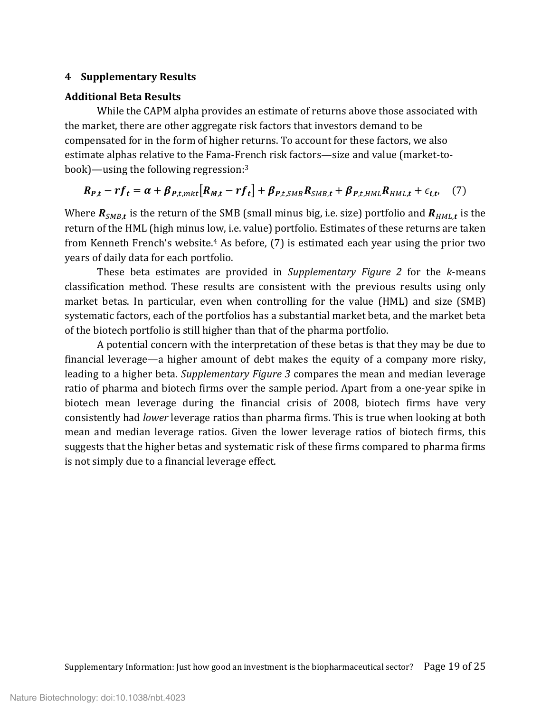### **4 Supplementary Results**

#### **Additional Beta Results**

While the CAPM alpha provides an estimate of returns above those associated with the market, there are other aggregate risk factors that investors demand to be compensated for in the form of higher returns. To account for these factors, we also estimate alphas relative to the Fama-French risk factors—size and value (market-tobook)—using the following regression[:3](#page-24-3)

$$
R_{P,t} - rf_t = \alpha + \beta_{P,t,mkt} [R_{M,t} - rf_t] + \beta_{P,t,SMB} R_{SMB,t} + \beta_{P,t,HML} R_{HML,t} + \epsilon_{i,t} \quad (7)
$$

Where  $R_{SMB,t}$  is the return of the SMB (small minus big, i.e. size) portfolio and  $R_{HML,t}$  is the return of the HML (high minus low, i.e. value) portfolio. Estimates of these returns are taken from Kenneth French's website[.4](#page-24-2) As before, (7) is estimated each year using the prior two years of daily data for each portfolio.

These beta estimates are provided in *Supplementary Figure 2* for the *k*-means classification method. These results are consistent with the previous results using only market betas. In particular, even when controlling for the value (HML) and size (SMB) systematic factors, each of the portfolios has a substantial market beta, and the market beta of the biotech portfolio is still higher than that of the pharma portfolio.

A potential concern with the interpretation of these betas is that they may be due to financial leverage—a higher amount of debt makes the equity of a company more risky, leading to a higher beta. *Supplementary Figure 3* compares the mean and median leverage ratio of pharma and biotech firms over the sample period. Apart from a one-year spike in biotech mean leverage during the financial crisis of 2008, biotech firms have very consistently had *lower* leverage ratios than pharma firms. This is true when looking at both mean and median leverage ratios. Given the lower leverage ratios of biotech firms, this suggests that the higher betas and systematic risk of these firms compared to pharma firms is not simply due to a financial leverage effect.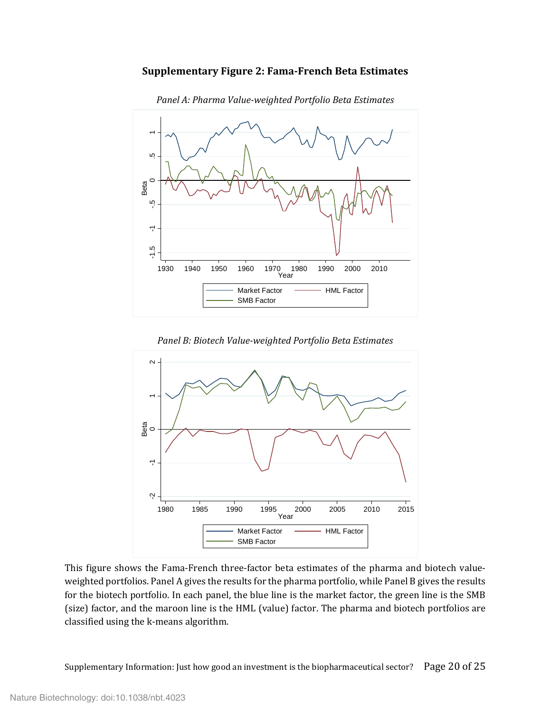#### **Supplementary Figure 2: Fama-French Beta Estimates**



*Panel A: Pharma Value-weighted Portfolio Beta Estimates*





This figure shows the Fama-French three-factor beta estimates of the pharma and biotech valueweighted portfolios. Panel A gives the results for the pharma portfolio, while Panel B gives the results for the biotech portfolio. In each panel, the blue line is the market factor, the green line is the SMB (size) factor, and the maroon line is the HML (value) factor. The pharma and biotech portfolios are

Supplementary Information: Just how good an investment is the biopharmaceutical sector? Page 20 of 25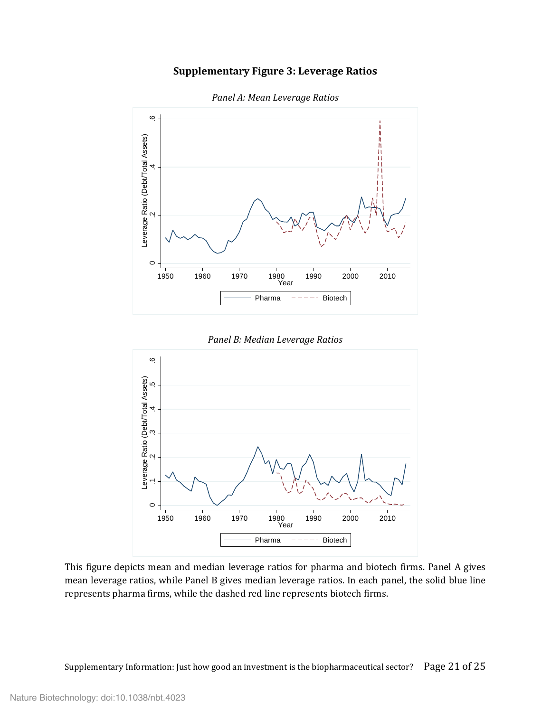## **Supplementary Figure 3: Leverage Ratios**



*Panel A: Mean Leverage Ratios*

*Panel B: Median Leverage Ratios*



This figure depicts mean and median leverage ratios for pharma and biotech firms. Panel A gives mean leverage ratios, while Panel B gives median leverage ratios. In each panel, the solid blue line represents pharma firms, while the dashed red line represents biotech firms.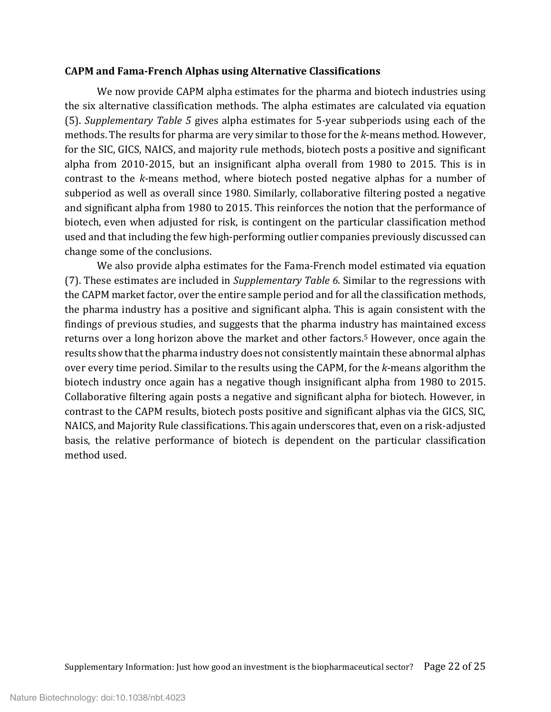#### **CAPM and Fama-French Alphas using Alternative Classifications**

We now provide CAPM alpha estimates for the pharma and biotech industries using the six alternative classification methods. The alpha estimates are calculated via equation (5). *Supplementary Table 5* gives alpha estimates for 5-year subperiods using each of the methods. The results for pharma are very similar to those for the *k*-means method. However, for the SIC, GICS, NAICS, and majority rule methods, biotech posts a positive and significant alpha from 2010-2015, but an insignificant alpha overall from 1980 to 2015. This is in contrast to the *k*-means method, where biotech posted negative alphas for a number of subperiod as well as overall since 1980. Similarly, collaborative filtering posted a negative and significant alpha from 1980 to 2015. This reinforces the notion that the performance of biotech, even when adjusted for risk, is contingent on the particular classification method used and that including the few high-performing outlier companies previously discussed can change some of the conclusions.

We also provide alpha estimates for the Fama-French model estimated via equation (7). These estimates are included in *Supplementary Table 6*. Similar to the regressions with the CAPM market factor, over the entire sample period and for all the classification methods, the pharma industry has a positive and significant alpha. This is again consistent with the findings of previous studies, and suggests that the pharma industry has maintained excess returns over a long horizon above the market and other factors.<sup>5</sup> However, once again the results show that the pharma industry does not consistently maintain these abnormal alphas over every time period. Similar to the results using the CAPM, for the *k*-means algorithm the biotech industry once again has a negative though insignificant alpha from 1980 to 2015. Collaborative filtering again posts a negative and significant alpha for biotech. However, in contrast to the CAPM results, biotech posts positive and significant alphas via the GICS, SIC, NAICS, and Majority Rule classifications. This again underscores that, even on a risk-adjusted basis, the relative performance of biotech is dependent on the particular classification method used.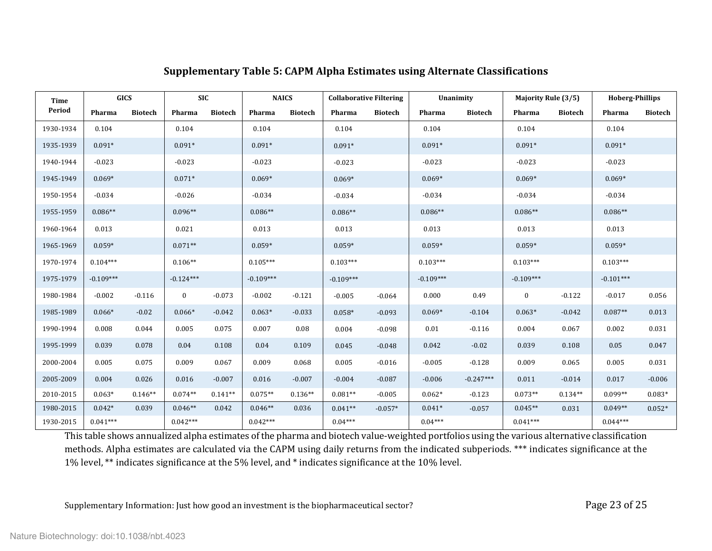# **Supplementary Table 5: CAPM Alpha Estimates using Alternate Classifications**

| Time      |             | <b>GICS</b>    | <b>SIC</b>  |                | <b>NAICS</b> |                | <b>Collaborative Filtering</b> |                | Unanimity   |                | <b>Majority Rule (3/5)</b> |                | <b>Hoberg-Phillips</b> |                |
|-----------|-------------|----------------|-------------|----------------|--------------|----------------|--------------------------------|----------------|-------------|----------------|----------------------------|----------------|------------------------|----------------|
| Period    | Pharma      | <b>Biotech</b> | Pharma      | <b>Biotech</b> | Pharma       | <b>Biotech</b> | Pharma                         | <b>Biotech</b> | Pharma      | <b>Biotech</b> | Pharma                     | <b>Biotech</b> | Pharma                 | <b>Biotech</b> |
| 1930-1934 | 0.104       |                | 0.104       |                | 0.104        |                | 0.104                          |                | 0.104       |                | 0.104                      |                | 0.104                  |                |
| 1935-1939 | $0.091*$    |                | $0.091*$    |                | $0.091*$     |                | $0.091*$                       |                | $0.091*$    |                | $0.091*$                   |                | $0.091*$               |                |
| 1940-1944 | $-0.023$    |                | $-0.023$    |                | $-0.023$     |                | $-0.023$                       |                | $-0.023$    |                | $-0.023$                   |                | $-0.023$               |                |
| 1945-1949 | $0.069*$    |                | $0.071*$    |                | $0.069*$     |                | $0.069*$                       |                | $0.069*$    |                | $0.069*$                   |                | $0.069*$               |                |
| 1950-1954 | $-0.034$    |                | $-0.026$    |                | $-0.034$     |                | $-0.034$                       |                | $-0.034$    |                | $-0.034$                   |                | $-0.034$               |                |
| 1955-1959 | $0.086**$   |                | $0.096**$   |                | $0.086**$    |                | $0.086**$                      |                | $0.086**$   |                | $0.086**$                  |                | $0.086**$              |                |
| 1960-1964 | 0.013       |                | 0.021       |                | 0.013        |                | 0.013                          |                | 0.013       |                | 0.013                      |                | 0.013                  |                |
| 1965-1969 | $0.059*$    |                | $0.071**$   |                | $0.059*$     |                | $0.059*$                       |                | $0.059*$    |                | $0.059*$                   |                | $0.059*$               |                |
| 1970-1974 | $0.104***$  |                | $0.106**$   |                | $0.105***$   |                | $0.103***$                     |                | $0.103***$  |                | $0.103***$                 |                | $0.103***$             |                |
| 1975-1979 | $-0.109***$ |                | $-0.124***$ |                | $-0.109***$  |                | $-0.109***$                    |                | $-0.109***$ |                | $-0.109***$                |                | $-0.101***$            |                |
| 1980-1984 | $-0.002$    | $-0.116$       | $\bf{0}$    | $-0.073$       | $-0.002$     | $-0.121$       | $-0.005$                       | $-0.064$       | 0.000       | 0.49           | $\bf{0}$                   | $-0.122$       | $-0.017$               | 0.056          |
| 1985-1989 | $0.066*$    | $-0.02$        | $0.066*$    | $-0.042$       | $0.063*$     | $-0.033$       | $0.058*$                       | $-0.093$       | $0.069*$    | $-0.104$       | $0.063*$                   | $-0.042$       | $0.087**$              | 0.013          |
| 1990-1994 | 0.008       | 0.044          | 0.005       | 0.075          | 0.007        | 0.08           | 0.004                          | $-0.098$       | 0.01        | $-0.116$       | 0.004                      | 0.067          | 0.002                  | 0.031          |
| 1995-1999 | 0.039       | 0.078          | 0.04        | 0.108          | $0.04\,$     | 0.109          | 0.045                          | $-0.048$       | 0.042       | $-0.02$        | 0.039                      | 0.108          | 0.05                   | 0.047          |
| 2000-2004 | 0.005       | 0.075          | 0.009       | 0.067          | 0.009        | 0.068          | 0.005                          | $-0.016$       | $-0.005$    | $-0.128$       | 0.009                      | 0.065          | 0.005                  | 0.031          |
| 2005-2009 | 0.004       | 0.026          | 0.016       | $-0.007$       | 0.016        | $-0.007$       | $-0.004$                       | $-0.087$       | $-0.006$    | $-0.247***$    | 0.011                      | $-0.014$       | 0.017                  | $-0.006$       |
| 2010-2015 | $0.063*$    | $0.146**$      | $0.074**$   | $0.141**$      | $0.075**$    | $0.136**$      | $0.081**$                      | $-0.005$       | $0.062*$    | $-0.123$       | $0.073**$                  | $0.134**$      | $0.099**$              | $0.083*$       |
| 1980-2015 | $0.042*$    | 0.039          | $0.046**$   | 0.042          | $0.046**$    | 0.036          | $0.041**$                      | $-0.057*$      | $0.041*$    | $-0.057$       | $0.045**$                  | 0.031          | $0.049**$              | $0.052*$       |
| 1930-2015 | $0.041***$  |                | $0.042***$  |                | $0.042***$   |                | $0.04***$                      |                | $0.04***$   |                | $0.041***$                 |                | $0.044***$             |                |

This table shows annualized alpha estimates of the pharma and biotech value-weighted portfolios using the various alternative classification methods. Alpha estimates are calculated via the CAPM using daily returns from the indicated subperiods. \*\*\* indicates significance at the 1% level, \*\* indicates significance at the 5% level, and \* indicates significance at the 10% level.

Supplementary Information: Just how good an investment is the biopharmaceutical sector? Page 23 of 25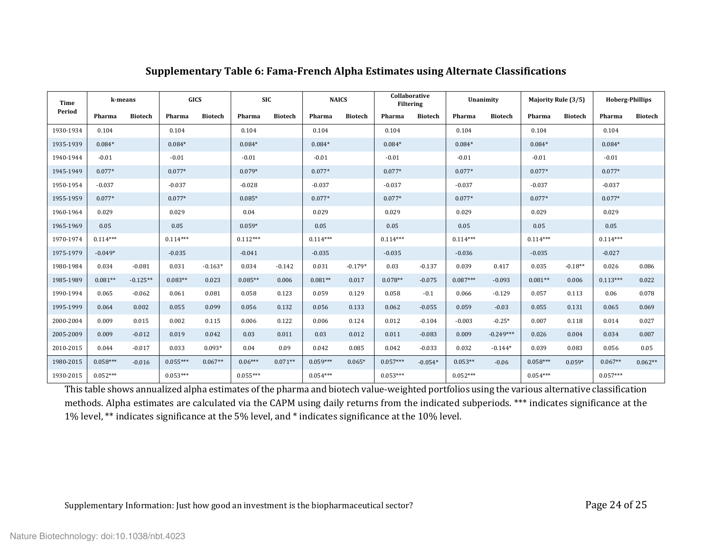| Time      |            | k-means        |            | <b>GICS</b>    |            | <b>SIC</b>     | <b>NAICS</b> |                | Collaborative<br><b>Filtering</b> |                |            | Unanimity      |            | Majority Rule (3/5) | <b>Hoberg-Phillips</b> |                |
|-----------|------------|----------------|------------|----------------|------------|----------------|--------------|----------------|-----------------------------------|----------------|------------|----------------|------------|---------------------|------------------------|----------------|
| Period    | Pharma     | <b>Biotech</b> | Pharma     | <b>Biotech</b> | Pharma     | <b>Biotech</b> | Pharma       | <b>Biotech</b> | Pharma                            | <b>Biotech</b> | Pharma     | <b>Biotech</b> | Pharma     | <b>Biotech</b>      | Pharma                 | <b>Biotech</b> |
| 1930-1934 | 0.104      |                | 0.104      |                | 0.104      |                | 0.104        |                | 0.104                             |                | 0.104      |                | 0.104      |                     | 0.104                  |                |
| 1935-1939 | $0.084*$   |                | $0.084*$   |                | $0.084*$   |                | $0.084*$     |                | $0.084*$                          |                | $0.084*$   |                | $0.084*$   |                     | $0.084*$               |                |
| 1940-1944 | $-0.01$    |                | $-0.01$    |                | $-0.01$    |                | $-0.01$      |                | $-0.01$                           |                | $-0.01$    |                | $-0.01$    |                     | $-0.01$                |                |
| 1945-1949 | $0.077*$   |                | $0.077*$   |                | $0.079*$   |                | $0.077*$     |                | $0.077*$                          |                | $0.077*$   |                | $0.077*$   |                     | $0.077*$               |                |
| 1950-1954 | $-0.037$   |                | $-0.037$   |                | $-0.028$   |                | $-0.037$     |                | $-0.037$                          |                | $-0.037$   |                | $-0.037$   |                     | $-0.037$               |                |
| 1955-1959 | $0.077*$   |                | $0.077*$   |                | $0.085*$   |                | $0.077*$     |                | $0.077*$                          |                | $0.077*$   |                | $0.077*$   |                     | $0.077*$               |                |
| 1960-1964 | 0.029      |                | 0.029      |                | 0.04       |                | 0.029        |                | 0.029                             |                | 0.029      |                | 0.029      |                     | 0.029                  |                |
| 1965-1969 | 0.05       |                | 0.05       |                | $0.059*$   |                | 0.05         |                | 0.05                              |                | 0.05       |                | 0.05       |                     | 0.05                   |                |
| 1970-1974 | $0.114***$ |                | $0.114***$ |                | $0.112***$ |                | $0.114***$   |                | $0.114***$                        |                | $0.114***$ |                | $0.114***$ |                     | $0.114***$             |                |
| 1975-1979 | $-0.049*$  |                | $-0.035$   |                | $-0.041$   |                | $-0.035$     |                | $-0.035$                          |                | $-0.036$   |                | $-0.035$   |                     | $-0.027$               |                |
| 1980-1984 | 0.034      | $-0.081$       | 0.031      | $-0.163*$      | 0.034      | $-0.142$       | 0.031        | $-0.179*$      | 0.03                              | $-0.137$       | 0.039      | 0.417          | 0.035      | $-0.18**$           | 0.026                  | 0.086          |
| 1985-1989 | $0.081**$  | $-0.125**$     | $0.083**$  | 0.023          | $0.085**$  | 0.006          | $0.081**$    | 0.017          | $0.078**$                         | $-0.075$       | $0.087***$ | $-0.093$       | $0.081**$  | 0.006               | $0.113***$             | 0.022          |
| 1990-1994 | 0.065      | $-0.062$       | 0.061      | 0.081          | 0.058      | 0.123          | 0.059        | 0.129          | 0.058                             | $-0.1$         | 0.066      | $-0.129$       | 0.057      | 0.113               | 0.06                   | 0.078          |
| 1995-1999 | 0.064      | 0.002          | 0.055      | 0.099          | 0.056      | 0.132          | 0.056        | 0.133          | 0.062                             | $-0.055$       | 0.059      | $-0.03$        | 0.055      | 0.131               | 0.065                  | 0.069          |
| 2000-2004 | 0.009      | 0.015          | 0.002      | 0.115          | 0.006      | 0.122          | 0.006        | 0.124          | 0.012                             | $-0.104$       | $-0.003$   | $-0.25*$       | 0.007      | 0.118               | 0.014                  | 0.027          |
| 2005-2009 | 0.009      | $-0.012$       | 0.019      | 0.042          | 0.03       | 0.011          | 0.03         | 0.012          | 0.011                             | $-0.083$       | 0.009      | $-0.249***$    | 0.026      | 0.004               | 0.034                  | 0.007          |
| 2010-2015 | 0.044      | $-0.017$       | 0.033      | $0.093*$       | 0.04       | 0.09           | 0.042        | 0.085          | 0.042                             | $-0.033$       | 0.032      | $-0.144*$      | 0.039      | 0.083               | 0.056                  | 0.05           |
| 1980-2015 | $0.058***$ | $-0.016$       | $0.055***$ | $0.067**$      | $0.06***$  | $0.071**$      | $0.059***$   | $0.065*$       | $0.057***$                        | $-0.054*$      | $0.053**$  | $-0.06$        | $0.058***$ | $0.059*$            | $0.067**$              | $0.062**$      |
| 1930-2015 | $0.052***$ |                | $0.053***$ |                | $0.055***$ |                | $0.054***$   |                | $0.053***$                        |                | $0.052***$ |                | $0.054***$ |                     | $0.057***$             |                |

## **Supplementary Table 6: Fama-French Alpha Estimates using Alternate Classifications**

This table shows annualized alpha estimates of the pharma and biotech value-weighted portfolios using the various alternative classification methods. Alpha estimates are calculated via the CAPM using daily returns from the indicated subperiods. \*\*\* indicates significance at the 1% level, \*\* indicates significance at the 5% level, and \* indicates significance at the 10% level.